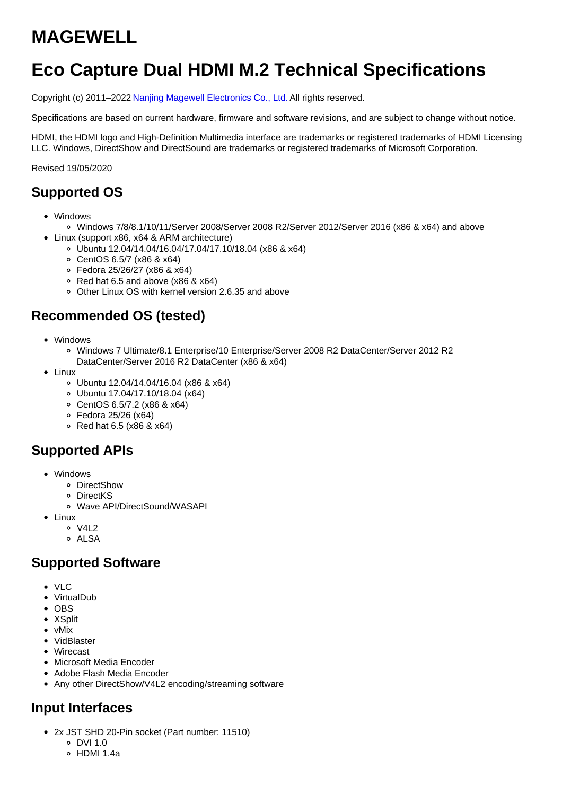# **MAGEWELL**

# **Eco Capture Dual HDMI M.2 Technical Specifications**

Copyright (c) 2011–2022 Nanjing Magewell [Electronics](http://www.magewell.com) Co., Ltd. All rights reserved.

Specifications are based on current hardware, firmware and software revisions, and are subject to change without notice.

HDMI, the HDMI logo and High-Definition Multimedia interface are trademarks or registered trademarks of HDMI Licensing LLC. Windows, DirectShow and DirectSound are trademarks or registered trademarks of Microsoft Corporation.

Revised 19/05/2020

### **Supported OS**

- Windows
	- Windows 7/8/8.1/10/11/Server 2008/Server 2008 R2/Server 2012/Server 2016 (x86 & x64) and above
- Linux (support x86, x64 & ARM architecture)
	- Ubuntu 12.04/14.04/16.04/17.04/17.10/18.04 (x86 & x64)
	- CentOS 6.5/7 (x86 & x64)
	- Fedora 25/26/27 (x86 & x64)
	- $\circ$  Red hat 6.5 and above (x86 & x64)
	- Other Linux OS with kernel version 2.6.35 and above

# **Recommended OS (tested)**

- Windows
	- Windows 7 Ultimate/8.1 Enterprise/10 Enterprise/Server 2008 R2 DataCenter/Server 2012 R2 DataCenter/Server 2016 R2 DataCenter (x86 & x64)
- Linux
	- Ubuntu 12.04/14.04/16.04 (x86 & x64)
	- Ubuntu 17.04/17.10/18.04 (x64)
	- CentOS 6.5/7.2 (x86 & x64)
	- Fedora 25/26 (x64)
	- $\circ$  Red hat 6.5 (x86 & x64)

# **Supported APIs**

- Windows
	- DirectShow
	- DirectKS
	- Wave API/DirectSound/WASAPI
- Linux
	- $0 \sqrt{412}$
	- o ALSA

### **Supported Software**

- $\bullet$  VIC
- VirtualDub
- $\bullet$  OBS
- XSplit
- vMix
- VidBlaster
- Wirecast
- Microsoft Media Encoder
- Adobe Flash Media Encoder
- Any other DirectShow/V4L2 encoding/streaming software

# **Input Interfaces**

- 2x JST SHD 20-Pin socket (Part number: 11510)
	- $0.$  DVI 1.0
	- HDMI 1.4a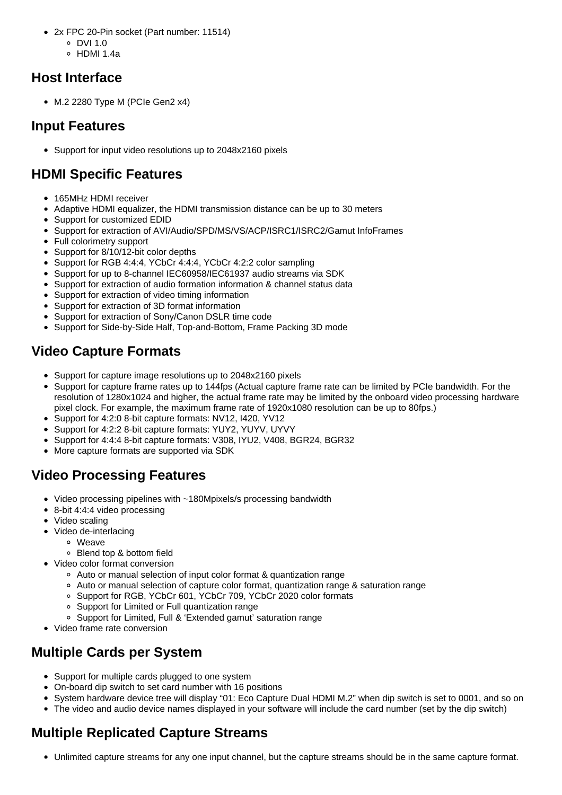- 2x FPC 20-Pin socket (Part number: 11514)
	- $O$  DVI 1.0
	- HDMI 1.4a

# **Host Interface**

 $\bullet$  M.2 2280 Type M (PCIe Gen2 x4)

# **Input Features**

Support for input video resolutions up to 2048x2160 pixels

# **HDMI Specific Features**

- 165MHz HDMI receiver
- Adaptive HDMI equalizer, the HDMI transmission distance can be up to 30 meters
- Support for customized EDID
- Support for extraction of AVI/Audio/SPD/MS/VS/ACP/ISRC1/ISRC2/Gamut InfoFrames
- Full colorimetry support
- Support for 8/10/12-bit color depths
- Support for RGB 4:4:4, YCbCr 4:4:4, YCbCr 4:2:2 color sampling
- Support for up to 8-channel IEC60958/IEC61937 audio streams via SDK
- Support for extraction of audio formation information & channel status data
- Support for extraction of video timing information
- Support for extraction of 3D format information
- Support for extraction of Sony/Canon DSLR time code
- Support for Side-by-Side Half, Top-and-Bottom, Frame Packing 3D mode

# **Video Capture Formats**

- Support for capture image resolutions up to 2048x2160 pixels
- Support for capture frame rates up to 144fps (Actual capture frame rate can be limited by PCIe bandwidth. For the resolution of 1280x1024 and higher, the actual frame rate may be limited by the onboard video processing hardware pixel clock. For example, the maximum frame rate of 1920x1080 resolution can be up to 80fps.)
- Support for 4:2:0 8-bit capture formats: NV12, I420, YV12
- Support for 4:2:2 8-bit capture formats: YUY2, YUYV, UYVY
- Support for 4:4:4 8-bit capture formats: V308, IYU2, V408, BGR24, BGR32
- More capture formats are supported via SDK

# **Video Processing Features**

- Video processing pipelines with ~180Mpixels/s processing bandwidth
- 8-bit 4:4:4 video processing
- Video scaling
- Video de-interlacing
	- Weave
	- Blend top & bottom field
- Video color format conversion
	- Auto or manual selection of input color format & quantization range
	- Auto or manual selection of capture color format, quantization range & saturation range
	- o Support for RGB, YCbCr 601, YCbCr 709, YCbCr 2020 color formats
	- Support for Limited or Full quantization range
	- Support for Limited, Full & 'Extended gamut' saturation range
- Video frame rate conversion

# **Multiple Cards per System**

- Support for multiple cards plugged to one system
- On-board dip switch to set card number with 16 positions
- System hardware device tree will display "01: Eco Capture Dual HDMI M.2" when dip switch is set to 0001, and so on
- The video and audio device names displayed in your software will include the card number (set by the dip switch)

# **Multiple Replicated Capture Streams**

Unlimited capture streams for any one input channel, but the capture streams should be in the same capture format.